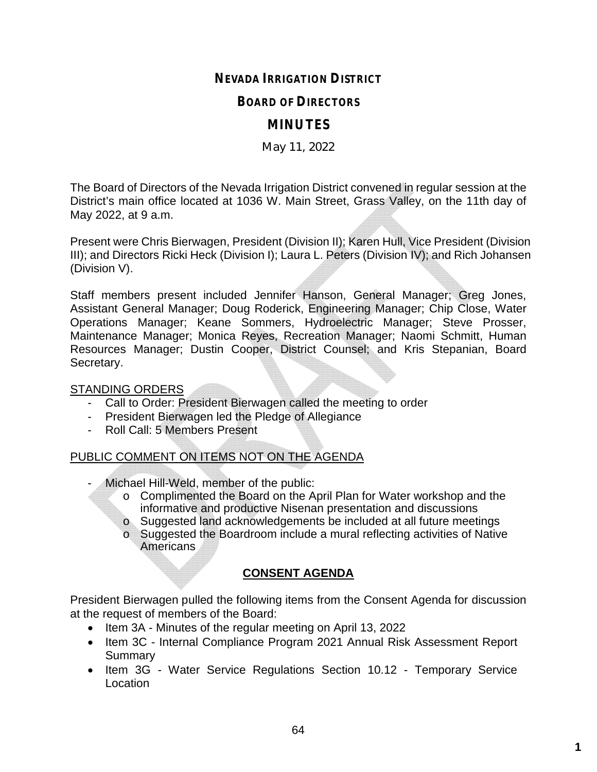# **NEVADA IRRIGATION DISTRICT**

#### **BOARD OF DIRECTORS**

# **MINUTES**

### May 11, 2022

The Board of Directors of the Nevada Irrigation District convened in regular session at the District's main office located at 1036 W. Main Street, Grass Valley, on the 11th day of May 2022, at 9 a.m.

Present were Chris Bierwagen, President (Division II); Karen Hull, Vice President (Division III); and Directors Ricki Heck (Division I); Laura L. Peters (Division IV); and Rich Johansen (Division V).

Staff members present included Jennifer Hanson, General Manager; Greg Jones, Assistant General Manager; Doug Roderick, Engineering Manager; Chip Close, Water Operations Manager; Keane Sommers, Hydroelectric Manager; Steve Prosser, Maintenance Manager; Monica Reyes, Recreation Manager; Naomi Schmitt, Human Resources Manager; Dustin Cooper, District Counsel; and Kris Stepanian, Board Secretary.

#### STANDING ORDERS

- Call to Order: President Bierwagen called the meeting to order
- President Bierwagen led the Pledge of Allegiance
- Roll Call: 5 Members Present

## PUBLIC COMMENT ON ITEMS NOT ON THE AGENDA

- Michael Hill-Weld, member of the public:
	- o Complimented the Board on the April Plan for Water workshop and the informative and productive Nisenan presentation and discussions
	- o Suggested land acknowledgements be included at all future meetings
	- o Suggested the Boardroom include a mural reflecting activities of Native Americans

## **CONSENT AGENDA**

President Bierwagen pulled the following items from the Consent Agenda for discussion at the request of members of the Board:

- Item 3A Minutes of the regular meeting on April 13, 2022
- Item 3C Internal Compliance Program 2021 Annual Risk Assessment Report **Summary**
- Item 3G Water Service Regulations Section 10.12 Temporary Service Location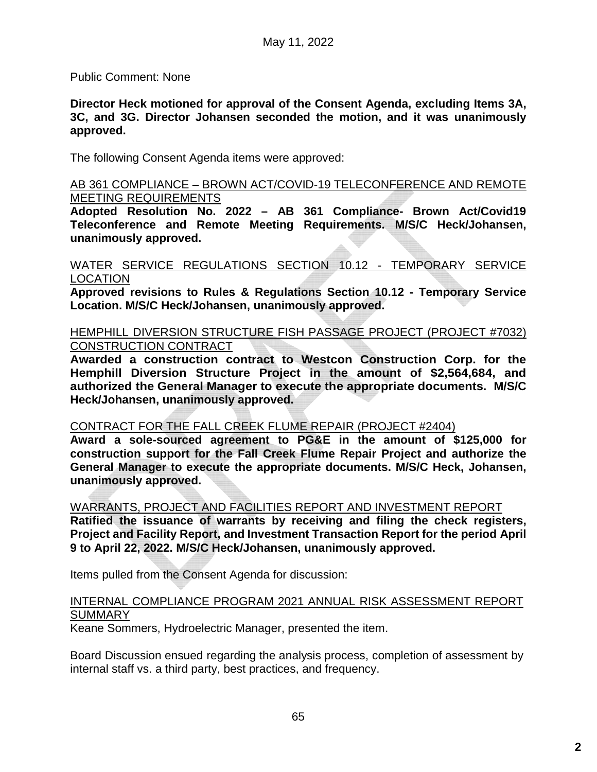Public Comment: None

**Director Heck motioned for approval of the Consent Agenda, excluding Items 3A, 3C, and 3G. Director Johansen seconded the motion, and it was unanimously approved.**

The following Consent Agenda items were approved:

AB 361 COMPLIANCE – BROWN ACT/COVID-19 TELECONFERENCE AND REMOTE MEETING REQUIREMENTS

**Adopted Resolution No. 2022 – AB 361 Compliance- Brown Act/Covid19 Teleconference and Remote Meeting Requirements. M/S/C Heck/Johansen, unanimously approved.**

#### WATER SERVICE REGULATIONS SECTION 10.12 - TEMPORARY SERVICE LOCATION

**Approved revisions to Rules & Regulations Section 10.12 - Temporary Service Location. M/S/C Heck/Johansen, unanimously approved.**

#### HEMPHILL DIVERSION STRUCTURE FISH PASSAGE PROJECT (PROJECT #7032) CONSTRUCTION CONTRACT

**Awarded a construction contract to Westcon Construction Corp. for the Hemphill Diversion Structure Project in the amount of \$2,564,684, and authorized the General Manager to execute the appropriate documents. M/S/C Heck/Johansen, unanimously approved.**

#### CONTRACT FOR THE FALL CREEK FLUME REPAIR (PROJECT #2404)

**Award a sole-sourced agreement to PG&E in the amount of \$125,000 for construction support for the Fall Creek Flume Repair Project and authorize the General Manager to execute the appropriate documents. M/S/C Heck, Johansen, unanimously approved.**

WARRANTS, PROJECT AND FACILITIES REPORT AND INVESTMENT REPORT

**Ratified the issuance of warrants by receiving and filing the check registers, Project and Facility Report, and Investment Transaction Report for the period April 9 to April 22, 2022. M/S/C Heck/Johansen, unanimously approved.**

Items pulled from the Consent Agenda for discussion:

#### INTERNAL COMPLIANCE PROGRAM 2021 ANNUAL RISK ASSESSMENT REPORT SUMMARY

Keane Sommers, Hydroelectric Manager, presented the item.

Board Discussion ensued regarding the analysis process, completion of assessment by internal staff vs. a third party, best practices, and frequency.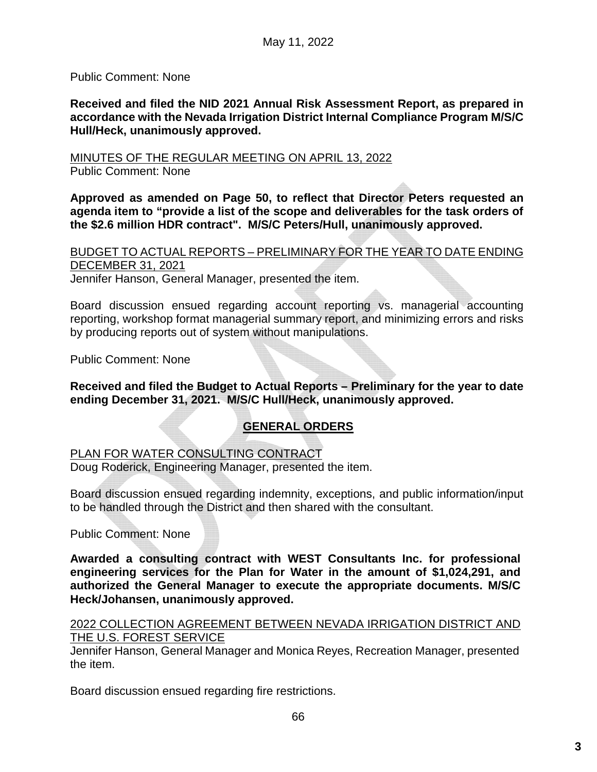Public Comment: None

**Received and filed the NID 2021 Annual Risk Assessment Report, as prepared in accordance with the Nevada Irrigation District Internal Compliance Program M/S/C Hull/Heck, unanimously approved.**

MINUTES OF THE REGULAR MEETING ON APRIL 13, 2022

Public Comment: None

**Approved as amended on Page 50, to reflect that Director Peters requested an agenda item to "provide a list of the scope and deliverables for the task orders of the \$2.6 million HDR contract". M/S/C Peters/Hull, unanimously approved.**

BUDGET TO ACTUAL REPORTS – PRELIMINARY FOR THE YEAR TO DATE ENDING DECEMBER 31, 2021

Jennifer Hanson, General Manager, presented the item.

Board discussion ensued regarding account reporting vs. managerial accounting reporting, workshop format managerial summary report, and minimizing errors and risks by producing reports out of system without manipulations.

Public Comment: None

**Received and filed the Budget to Actual Reports – Preliminary for the year to date ending December 31, 2021. M/S/C Hull/Heck, unanimously approved.**

# **GENERAL ORDERS**

PLAN FOR WATER CONSULTING CONTRACT

Doug Roderick, Engineering Manager, presented the item.

Board discussion ensued regarding indemnity, exceptions, and public information/input to be handled through the District and then shared with the consultant.

Public Comment: None

**Awarded a consulting contract with WEST Consultants Inc. for professional engineering services for the Plan for Water in the amount of \$1,024,291, and authorized the General Manager to execute the appropriate documents. M/S/C Heck/Johansen, unanimously approved.**

#### 2022 COLLECTION AGREEMENT BETWEEN NEVADA IRRIGATION DISTRICT AND THE U.S. FOREST SERVICE

Jennifer Hanson, General Manager and Monica Reyes, Recreation Manager, presented the item.

Board discussion ensued regarding fire restrictions.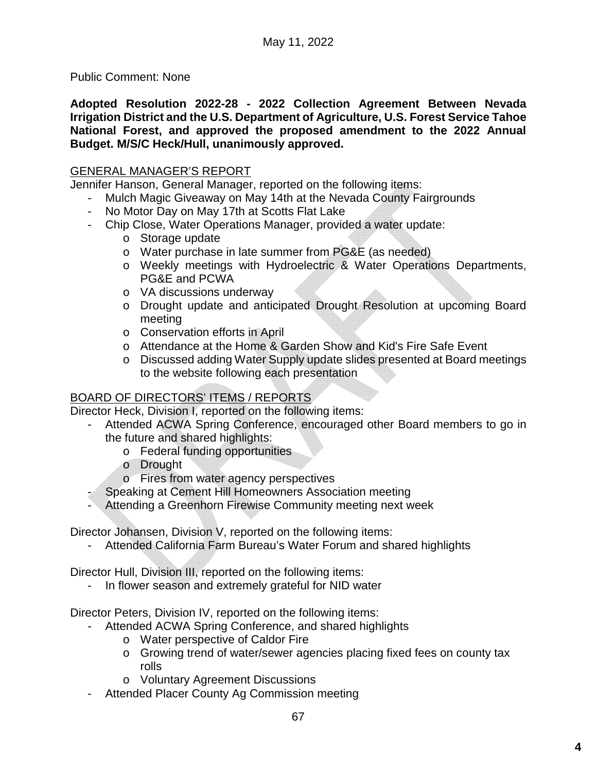Public Comment: None

**Adopted Resolution 2022-28 - 2022 Collection Agreement Between Nevada Irrigation District and the U.S. Department of Agriculture, U.S. Forest Service Tahoe National Forest, and approved the proposed amendment to the 2022 Annual Budget. M/S/C Heck/Hull, unanimously approved.**

## GENERAL MANAGER'S REPORT

Jennifer Hanson, General Manager, reported on the following items:

- Mulch Magic Giveaway on May 14th at the Nevada County Fairgrounds
- No Motor Day on May 17th at Scotts Flat Lake
- Chip Close, Water Operations Manager, provided a water update:
	- o Storage update
	- o Water purchase in late summer from PG&E (as needed)
	- o Weekly meetings with Hydroelectric & Water Operations Departments, PG&E and PCWA
	- o VA discussions underway
	- o Drought update and anticipated Drought Resolution at upcoming Board meeting
	- o Conservation efforts in April
	- o Attendance at the Home & Garden Show and Kid's Fire Safe Event
	- o Discussed adding Water Supply update slides presented at Board meetings to the website following each presentation

# BOARD OF DIRECTORS' ITEMS / REPORTS

Director Heck, Division I, reported on the following items:

- Attended ACWA Spring Conference, encouraged other Board members to go in the future and shared highlights:
	- o Federal funding opportunities
	- o Drought
	- o Fires from water agency perspectives
	- Speaking at Cement Hill Homeowners Association meeting
- Attending a Greenhorn Firewise Community meeting next week

Director Johansen, Division V, reported on the following items:

- Attended California Farm Bureau's Water Forum and shared highlights

Director Hull, Division III, reported on the following items:

- In flower season and extremely grateful for NID water

Director Peters, Division IV, reported on the following items:

- Attended ACWA Spring Conference, and shared highlights
	- o Water perspective of Caldor Fire
	- o Growing trend of water/sewer agencies placing fixed fees on county tax rolls
	- o Voluntary Agreement Discussions
- Attended Placer County Ag Commission meeting